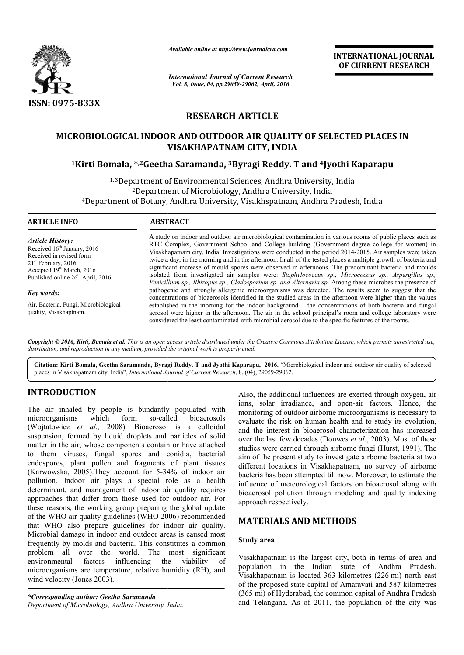

*Available online at http://www.journalcra.com*

*International Journal of Current Research Vol. 8, Issue, 04, pp.29059-29062, April, 2016*

**INTERNATIONAL JOURNAL OF CURRENT RESEARCH** 

# **RESEARCH ARTICLE**

# **MICROBIOLOGICAL INDOOR AND OUTDOOR AIR QUALITY OF SELECTED PLACES IN VISAKHAPATNAM CITY, INDIA**

# **1Kirti Bomala, \*,2Geetha Saramanda, Geetha 3Byragi Reddy. T and 4Jyothi Kaparapu Jyothi Kaparapu**

<sup>1, 3</sup>Department of Environmental Sciences, Andhra University, India <sup>2</sup>Department of Microbiology, Andhra University, India 4Department of Botany, Andhra University, Visakhspatnam, Andhra Pradesh, India Department

#### **ARTICLE INFO ABSTRACT**

*Article History:* Received 16<sup>th</sup> January, 2016 Received in revised form 21st February, 2016 Accepted 19<sup>th</sup> March, 2016 Published online 26<sup>th</sup> April, 2016

*Key words:* Air, Bacteria, Fungi, Microbiological quality, Visakhaptnam.

A study on indoor and outdoor air microbiological contamination in various rooms of public places such as A study on indoor and outdoor air microbiological contamination in various rooms of public places such as RTC Complex, Government School and College building (Government degree college for women) in Visakhapatnam city, India. Investigations were conducted in the period 2014-2015. Air samples were taken twice a day, in the morning and in the afternoon. In all of the tested places a multiple growth of bacteria and twice a day, in the morning and in the afternoon. In all of the tested places a multiple growth of bacteria and<br>significant increase of mould spores were observed in afternoons. The predominant bacteria and moulds isolated from investigated air samples were: *Staphylococcus sp., Micrococcus sp., Aspergillus sp.*, Penicillium sp., Rhizopus sp., Cladosporium sp. and Alternaria sp. Among these microbes the presence of pathogenic and strongly allergenic microorganisms was detected. The results seem to suggest that the concentrations of bioaerosols identified in the studied areas in the afternoon were higher than the values established in the morning for the indoor background – the concentrations of both bacteria and fungal aerosol were higher in the afternoon. The air in the school principal's room and college laboratory were considered the least contaminated with microbial aerosol due to the specific pathogenic and strongly allergenic microorganisms was detected. The results seem to suggest that the concentrations of bioaerosols identified in the studied areas in the afternoon were higher than the values established in

Copyright © 2016, Kirti, Bomala et al. This is an open access article distributed under the Creative Commons Attribution License, which permits unrestricted use, *distribution, and reproduction in any medium, provided the original work is properly cited.*

Citation: Kirti Bomala, Geetha Saramanda, Byragi Reddy. T and Jyothi Kaparapu, 2016. "Microbiological indoor and outdoor air quality of selected places in Visakhapatnam city, India", *International Journal of Current Research* , 8, (04), 29059-29062.

# **INTRODUCTION**

The air inhaled by people is bundantly populated with microorganisms which form so-called bioaerosols (Wojtatowicz *et al.,* 2008). Bioaerosol is a colloidal suspension, formed by liquid droplets and particles of solid matter in the air, whose components contain or have attached to them viruses, fungal spores and conidia, bacterial endospores, plant pollen and fragments of plant tissues (Karwowska, 2005).They account for 5-34% of indoor air pollution. Indoor air plays a special role as a health determinant, and management of indoor air quality requires approaches that differ from those used for outdoor air. For these reasons, the working group preparing the global update of the WHO air quality guidelines (WHO 2006) recommended that WHO also prepare guidelines for indoor air quality. Microbial damage in indoor and outdoor areas is caused most frequently by molds and bacteria. This constitutes a common problem all over the world. The most significant environmental factors influencing the viability of Microbial damage in indoor and outdoor areas is caused most<br>frequently by molds and bacteria. This constitutes a common<br>problem all over the world. The most significant<br>environmental factors influencing the viability of<br>mi wind velocity (Jones 2003). called bioaerosols<br>sol is a colloidal<br>nd particles of solid<br>tain or have attached<br>l conidia, bacterial<br>ts of plant tissues<br>5-34% of indoor air<br>l role as a health<br>air quality requires

*\*Corresponding author: Geetha Saramanda Department of Microbiology, Andhra University, India.* Also, the additional influences are exerted through oxygen, air Also, the additional influences are exerted through oxygen, air ions, solar irradiance, and open-air factors. Hence, the monitoring of outdoor airborne microorganisms is necessary to evaluate the risk on human health and to study its evolution, and the interest in bioaerosol characterization has increased over the last few decades (Douwes *et al*., 2003). Most of these studies were carried through airborne fungi (Hurst, 1991). The aim of the present study to investigate airborne bacteria at two different locations in Visakhapatnam, no survey of airborne bacteria has been attempted till now. Moreover, to estimate the influence of meteorological factors on bioaerosol along with bioaerosol pollution through modeling and quality indexing approach respectively. of outdoor airborne microorganisms is necessary to<br>e risk on human health and to study its evolution,<br>erest in bioaerosol characterization has increased aim of the present study to investigate airborne bacteria at two<br>different locations in Visakhapatnam, no survey of airborne<br>bacteria has been attempted till now. Moreover, to estimate the<br>influence of meteorological facto **NAL JOURNAL**<br> **NAL JOURNAL**<br> **RESEARCH**<br> **CES IN**<br> **CES IN**<br> **CES IN**<br> **CES IN**<br> **CES IN**<br> **CES IN**<br> **CES IN**<br> **CES IN**<br> **CES IN**<br> **CES IN**<br> **CES IN**<br> **CES IN**<br> **CES IN**<br> **CES IN**<br> **CES IN**<br> **CES IN**<br> **CES IN**<br> **CES IN**<br>

### **MATERIALS AND METHODS TERIALS METHODS**

#### **Study area**

Visakhapatnam is the largest city, both in terms of area and population in the Indian state of Andhra Pradesh. Visakhapatnam is located 363 kilometres (226 (226 mi) north east of the proposed state capital of Amaravati and 587 kilometres of the proposed state capital of Amaravati and 587 kilometres (365 mi) of Hyderabad, the common capital of Andhra Pradesh and Telangana. As of 2011, the population of the city was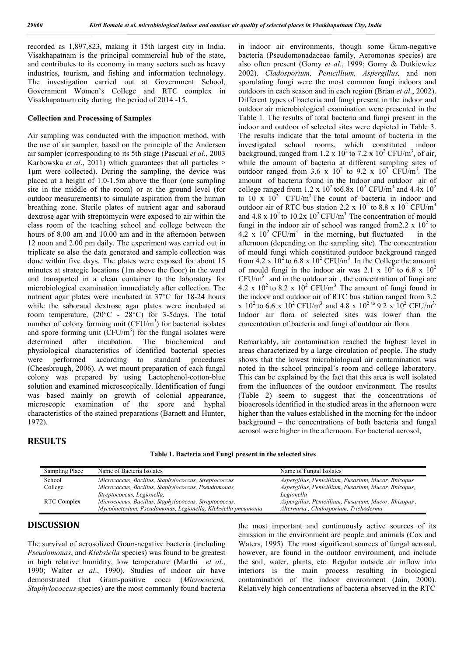recorded as 1,897,823, making it 15th largest city in India. Visakhapatnam is the principal commercial hub of the state, and contributes to its economy in many sectors such as heavy industries, tourism, and fishing and information technology. The investigation carried out at Government School, Government Women's College and RTC complex in Visakhapatnam city during the period of 2014 -15.

#### **Collection and Processing of Samples**

Air sampling was conducted with the impaction method, with the use of air sampler, based on the principle of the Andersen air sampler (corresponding to its 5th stage (Pascual *et al*., 2003 Karbowska *et al*., 2011) which guarantees that all particles > 1μm were collected). During the sampling, the device was placed at a height of 1.0-1.5m above the floor (one sampling site in the middle of the room) or at the ground level (for outdoor measurements) to simulate aspiration from the human breathing zone. Sterile plates of nutrient agar and saboraud dextrose agar with streptomycin were exposed to air within the class room of the teaching school and college between the hours of 8.00 am and 10.00 am and in the afternoon between 12 noon and 2.00 pm daily. The experiment was carried out in triplicate so also the data generated and sample collection was done within five days. The plates were exposed for about 15 minutes at strategic locations (1m above the floor) in the ward and transported in a clean container to the laboratory for microbiological examination immediately after collection. The nutrient agar plates were incubated at 37°C for 18-24 hours while the saboraud dextrose agar plates were incubated at room temperature, (20°C - 28°C) for 3-5days. The total number of colony forming unit  $(CFU/m^3)$  for bacterial isolates and spore forming unit  $(\text{CFU/m}^3)$  for the fungal isolates were determined after incubation. The biochemical and physiological characteristics of identified bacterial species were performed according to standard procedures (Cheesbrough, 2006). A wet mount preparation of each fungal colony was prepared by using Lactophenol-cotton-blue solution and examined microscopically. Identification of fungi was based mainly on growth of colonial appearance, microscopic examination of the spore and hyphal characteristics of the stained preparations (Barnett and Hunter, 1972).

in indoor air environments, though some Gram-negative bacteria (Pseudomonadaceae family, Aeromonas species) are also often present (Gorny *et al*., 1999; Gorny & Dutkiewicz 2002). *Cladosporium, Penicillium, Aspergillus,* and non sporulating fungi were the most common fungi indoors and outdoors in each season and in each region (Brian *et al*., 2002). Different types of bacteria and fungi present in the indoor and outdoor air microbiological examination were presented in the Table 1. The results of total bacteria and fungi present in the indoor and outdoor of selected sites were depicted in Table 3. The results indicate that the total amount of bacteria in the investigated school rooms, which constituted indoor background, ranged from 1.2 x 10<sup>2</sup> to 7.2 x 10<sup>2</sup> CFU/m<sup>3</sup>, of air, while the amount of bacteria at different sampling sites of outdoor ranged from 3.6 x  $10^2$  to 9.2 x  $10^2$  CFU/m<sup>3</sup>. The amount of bacteria found in the Indoor and outdoor air of college ranged from 1.2 x  $10^2$  to6.8x  $10^2$  CFU/m<sup>3</sup> and 4.4x  $10^2$ to 10 x  $10^2$  CFU/m<sup>3</sup>. The count of bacteria in indoor and outdoor air of RTC bus station 2.2 x  $10^2$  to 8.8 x  $10^2$  CFU/m<sup>3</sup> and 4.8 x  $10^2$  to 10.2x  $10^2$  CFU/m<sup>3</sup>. The concentration of mould fungi in the indoor air of school was ranged from  $2.2 \times 10^2$  to 4.2 x  $10^2$  CFU/m<sup>3</sup> in the morning, but fluctuated in the afternoon (depending on the sampling site). The concentration of mould fungi which constituted outdoor background ranged from 4.2 x  $10^2$  to 6.8 x  $10^2$  CFU/m<sup>3</sup>. In the College the amount of mould fungi in the indoor air was 2.1 x  $10^2$  to 6.8 x  $10^2$  $CFU/m<sup>3</sup>$  and in the outdoor air, the concentration of fungi are 4.2  $\times$  10<sup>2</sup> to 8.2  $\times$  10<sup>2</sup> CFU/m<sup>3</sup>. The amount of fungi found in the indoor and outdoor air of RTC bus station ranged from 3.2 x  $10^2$  to 6.6 x  $10^2$  CFU/m<sup>3,</sup> and 4.8 x  $10^{2}$  to 9.2 x  $10^2$  CFU/m<sup>3.</sup> Indoor air flora of selected sites was lower than the concentration of bacteria and fungi of outdoor air flora.

Remarkably, air contamination reached the highest level in areas characterized by a large circulation of people. The study shows that the lowest microbiological air contamination was noted in the school principal's room and college laboratory. This can be explained by the fact that this area is well isolated from the influences of the outdoor environment. The results (Table 2) seem to suggest that the concentrations of bioaerosols identified in the studied areas in the afternoon were higher than the values established in the morning for the indoor background – the concentrations of both bacteria and fungal aerosol were higher in the afternoon. For bacterial aerosol,

#### **RESULTS**

**Table 1. Bacteria and Fungi present in the selected sites**

| Sampling Place | Name of Bacteria Isolates                                    | Name of Fungal Isolates                              |
|----------------|--------------------------------------------------------------|------------------------------------------------------|
| School         | Micrococcus, Bacillus, Staphylococcus, Streptococcus         | Aspergillus, Penicillium, Fusarium, Mucor, Rhizopus  |
| College        | Micrococcus, Bacillus, Staphylococcus, Pseudomonas,          | Aspergillus, Penicillium, Fusarium, Mucor, Rhizopus, |
|                | Streptococcus, Legionella,                                   | Legionella                                           |
| RTC Complex    | Micrococcus, Bacillus, Staphylococcus, Streptococcus,        | Aspergillus, Penicillium, Fusarium, Mucor, Rhizopus, |
|                | Mycobacterium, Pseudomonas, Legionella, Klebsiella pneumonia | Alternaria, Cladosporium, Trichoderma                |

## **DISCUSSION**

The survival of aerosolized Gram-negative bacteria (including *Pseudomonas*, and *Klebsiella* species) was found to be greatest in high relative humidity, low temperature (Marthi *et al*., 1990; Walter *et al*., 1990). Studies of indoor air have demonstrated that Gram-positive cocci (*Micrococcus, Staphylococcus* species) are the most commonly found bacteria

the most important and continuously active sources of its emission in the environment are people and animals (Cox and Waters, 1995). The most significant sources of fungal aerosol, however, are found in the outdoor environment, and include the soil, water, plants, etc. Regular outside air inflow into interiors is the main process resulting in biological contamination of the indoor environment (Jain, 2000). Relatively high concentrations of bacteria observed in the RTC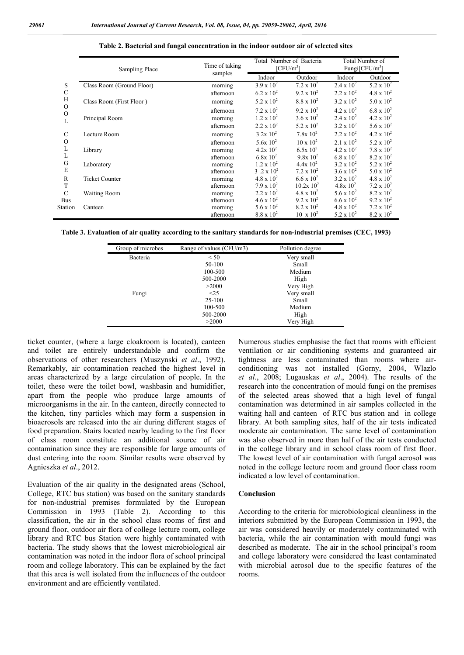|               | Sampling Place            | Time of taking | Total Number of Bacteria<br>[CFU/m <sup>3</sup> ] |                     | Total Number of<br>Fungi $[CFU/m^3]$ |                     |
|---------------|---------------------------|----------------|---------------------------------------------------|---------------------|--------------------------------------|---------------------|
|               |                           | samples        | Indoor                                            | Outdoor             | Indoor                               | Outdoor             |
| S             | Class Room (Ground Floor) | morning        | $3.9 \times 10^{2}$                               | $7.2 \times 10^2$   | $2.4 \times 10^{2}$                  | 5.2 x $10^2$        |
| $\mathbf C$   |                           | afternoon      | $6.2 \times 10^{2}$                               | $9.2 \times 10^{2}$ | $2.2 \times 10^{2}$                  | $4.8 \times 10^{2}$ |
| H             | Class Room (First Floor)  | morning        | 5.2 x $10^2$                                      | $8.8 \times 10^{2}$ | $3.2 \times 10^{2}$                  | $5.0 \times 10^{2}$ |
| $\mathcal{O}$ |                           | afternoon      | $7.2 \times 10^2$                                 | $9.2 \times 10^{2}$ | $4.2 \times 10^{2}$                  | $6.8 \times 10^{2}$ |
| $\mathcal{O}$ | Principal Room            | morning        | $1.2 \times 10^{2}$                               | $3.6 \times 10^{2}$ | $2.4 \times 10^{2}$                  | $4.2 \times 10^{2}$ |
|               |                           | afternoon      | $2.2 \times 10^{2}$                               | 5.2 x $10^2$        | $3.2 \times 10^{2}$                  | 5.6 x $10^2$        |
| C             | Lecture Room              | morning        | $3.2x\ 10^2$                                      | $7.8x\;10^2$        | $2.2 \times 10^{2}$                  | $4.2 \times 10^{2}$ |
| $\mathcal{O}$ |                           | afternoon      | $5.6x\ 10^2$                                      | $10 \times 10^{2}$  | $2.1 \times 10^{2}$                  | 5.2 x $10^2$        |
| L             | Library                   | morning        | $4.2x\;10^2$                                      | $6.5x\ 10^2$        | $4.2 \times 10^{2}$                  | $7.8 \times 10^{2}$ |
| L             |                           | afternoon      | $6.8x\;10^{2}$                                    | $9.8x 10^2$         | $6.8 \times 10^{2}$                  | $8.2 \times 10^{2}$ |
| G             | Laboratory                | morning        | $1.2 \times 10^{2}$                               | $4.4x\;10^2$        | $3.2 \times 10^{2}$                  | 5.2 x $10^2$        |
| E             |                           | afternoon      | 3.2 x $10^2$                                      | 7.2 x $10^2$        | $3.6 \times 10^{2}$                  | $5.0 \times 10^{2}$ |
| R             | <b>Ticket Counter</b>     | morning        | $4.8 \times 10^{2}$                               | $6.6 \times 10^{2}$ | $3.2 \times 10^{2}$                  | $4.8 \times 10^{2}$ |
| T             |                           | afternoon      | $7.9 \times 10^{2}$                               | $10.2x\ 10^2$       | $4.8x\;10^2$                         | $7.2 \times 10^2$   |
| $\mathcal{C}$ | <b>Waiting Room</b>       | morning        | $2.2 \times 10^{2}$                               | $4.8 \times 10^{2}$ | 5.6 x $10^2$                         | $8.2 \times 10^{2}$ |
| <b>Bus</b>    |                           | afternoon      | $4.6 \times 10^{2}$                               | $9.2 \times 10^{2}$ | $6.6 \times 10^{2}$                  | $9.2 \times 10^{2}$ |
| Station       | Canteen                   | morning        | $5.6 \times 10^{2}$                               | $8.2 \times 10^{2}$ | $4.8 \times 10^{2}$                  | $7.2 \times 10^2$   |
|               |                           | afternoon      | $8.8 \times 10^{2}$                               | $10 \times 10^{2}$  | 5.2 x $10^2$                         | $8.2 \times 10^{2}$ |

**Table 2. Bacterial and fungal concentration in the indoor outdoor air of selected sites**

**Table 3. Evaluation of air quality according to the sanitary standards for non-industrial premises (CEC, 1993)**

| Group of microbes | Range of values (CFU/m3) | Pollution degree |  |
|-------------------|--------------------------|------------------|--|
| Bacteria          | < 50                     | Very small       |  |
|                   | 50-100                   | Small            |  |
|                   | 100-500                  | Medium           |  |
|                   | 500-2000                 | High             |  |
|                   | >2000                    | Very High        |  |
| Fungi             | $\leq$ 25                | Very small       |  |
|                   | $25-100$                 | Small            |  |
|                   | 100-500                  | Medium           |  |
|                   | 500-2000                 | High             |  |
|                   | >2000                    | Very High        |  |

ticket counter, (where a large cloakroom is located), canteen and toilet are entirely understandable and confirm the observations of other researchers (Muszynski *et al*., 1992). Remarkably, air contamination reached the highest level in areas characterized by a large circulation of people. In the toilet, these were the toilet bowl, washbasin and humidifier, apart from the people who produce large amounts of microorganisms in the air. In the canteen, directly connected to the kitchen, tiny particles which may form a suspension in bioaerosols are released into the air during different stages of food preparation. Stairs located nearby leading to the first floor of class room constitute an additional source of air contamination since they are responsible for large amounts of dust entering into the room. Similar results were observed by Agnieszka *et al*., 2012.

Evaluation of the air quality in the designated areas (School, College, RTC bus station) was based on the sanitary standards for non-industrial premises formulated by the European Commission in 1993 (Table 2). According to this classification, the air in the school class rooms of first and ground floor, outdoor air flora of college lecture room, college library and RTC bus Station were highly contaminated with bacteria. The study shows that the lowest microbiological air contamination was noted in the indoor flora of school principal room and college laboratory. This can be explained by the fact that this area is well isolated from the influences of the outdoor environment and are efficiently ventilated.

Numerous studies emphasise the fact that rooms with efficient ventilation or air conditioning systems and guaranteed air tightness are less contaminated than rooms where airconditioning was not installed (Gorny, 2004, Wlazlo *et al*., 2008; Lugauskas *et al*., 2004). The results of the research into the concentration of mould fungi on the premises of the selected areas showed that a high level of fungal contamination was determined in air samples collected in the waiting hall and canteen of RTC bus station and in college library. At both sampling sites, half of the air tests indicated moderate air contamination. The same level of contamination was also observed in more than half of the air tests conducted in the college library and in school class room of first floor. The lowest level of air contamination with fungal aerosol was noted in the college lecture room and ground floor class room indicated a low level of contamination.

#### **Conclusion**

According to the criteria for microbiological cleanliness in the interiors submitted by the European Commission in 1993, the air was considered heavily or moderately contaminated with bacteria, while the air contamination with mould fungi was described as moderate. The air in the school principal's room and college laboratory were considered the least contaminated with microbial aerosol due to the specific features of the rooms.